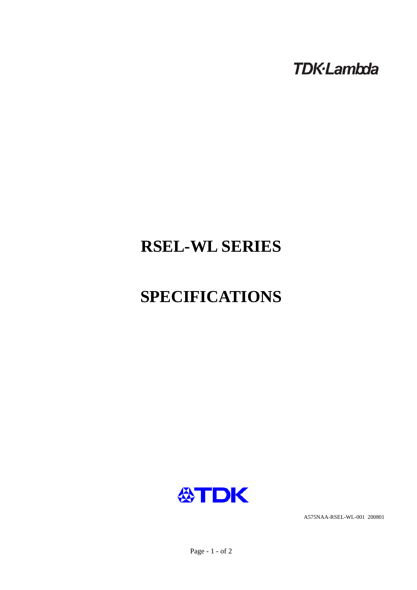**TDK-Lambda** 

## **RSEL-WL SERIES**

# **SPECIFICATIONS**



A575NAA-RSEL-WL-001 200801

Page - 1 - of 2